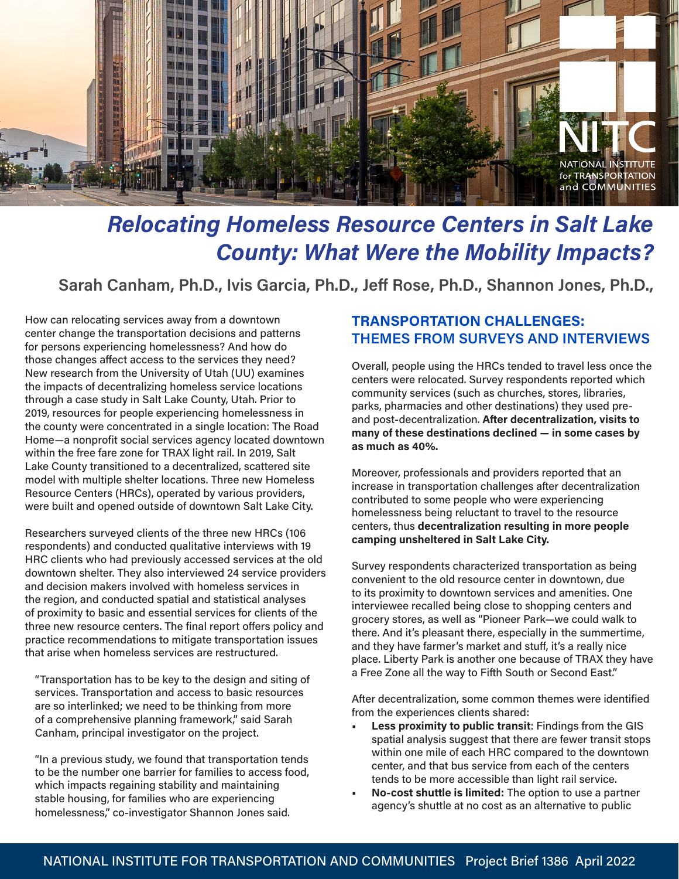

# *Relocating Homeless Resource Centers in Salt Lake County: What Were the Mobility Impacts?*

**Sarah Canham, Ph.D., Ivis Garcia, Ph.D., Jeff Rose, Ph.D., Shannon Jones, Ph.D.,**

How can relocating services away from a downtown center change the transportation decisions and patterns for persons experiencing homelessness? And how do those changes affect access to the services they need? New research from the University of Utah (UU) examines the impacts of decentralizing homeless service locations through a case study in Salt Lake County, Utah. Prior to 2019, resources for people experiencing homelessness in the county were concentrated in a single location: The Road Home—a nonprofit social services agency located downtown within the free fare zone for TRAX light rail. In 2019, Salt Lake County transitioned to a decentralized, scattered site model with multiple shelter locations. Three new Homeless Resource Centers (HRCs), operated by various providers, were built and opened outside of downtown Salt Lake City.

Researchers surveyed clients of the three new HRCs (106 respondents) and conducted qualitative interviews with 19 HRC clients who had previously accessed services at the old downtown shelter. They also interviewed 24 service providers and decision makers involved with homeless services in the region, and conducted spatial and statistical analyses of proximity to basic and essential services for clients of the three new resource centers. The final report offers policy and practice recommendations to mitigate transportation issues that arise when homeless services are restructured.

"Transportation has to be key to the design and siting of services. Transportation and access to basic resources are so interlinked; we need to be thinking from more of a comprehensive planning framework," said Sarah Canham, principal investigator on the project.

"In a previous study, we found that transportation tends to be the number one barrier for families to access food, which impacts regaining stability and maintaining stable housing, for families who are experiencing homelessness," co-investigator Shannon Jones said.

### **TRANSPORTATION CHALLENGES: THEMES FROM SURVEYS AND INTERVIEWS**

Overall, people using the HRCs tended to travel less once the centers were relocated. Survey respondents reported which community services (such as churches, stores, libraries, parks, pharmacies and other destinations) they used preand post-decentralization. **After decentralization, visits to many of these destinations declined — in some cases by as much as 40%.** 

Moreover, professionals and providers reported that an increase in transportation challenges after decentralization contributed to some people who were experiencing homelessness being reluctant to travel to the resource centers, thus **decentralization resulting in more people camping unsheltered in Salt Lake City.** 

Survey respondents characterized transportation as being convenient to the old resource center in downtown, due to its proximity to downtown services and amenities. One interviewee recalled being close to shopping centers and grocery stores, as well as "Pioneer Park—we could walk to there. And it's pleasant there, especially in the summertime, and they have farmer's market and stuff, it's a really nice place. Liberty Park is another one because of TRAX they have a Free Zone all the way to Fifth South or Second East."

After decentralization, some common themes were identified from the experiences clients shared:

- **• Less proximity to public transit**: Findings from the GIS spatial analysis suggest that there are fewer transit stops within one mile of each HRC compared to the downtown center, and that bus service from each of the centers tends to be more accessible than light rail service.
- **• No-cost shuttle is limited:** The option to use a partner agency's shuttle at no cost as an alternative to public